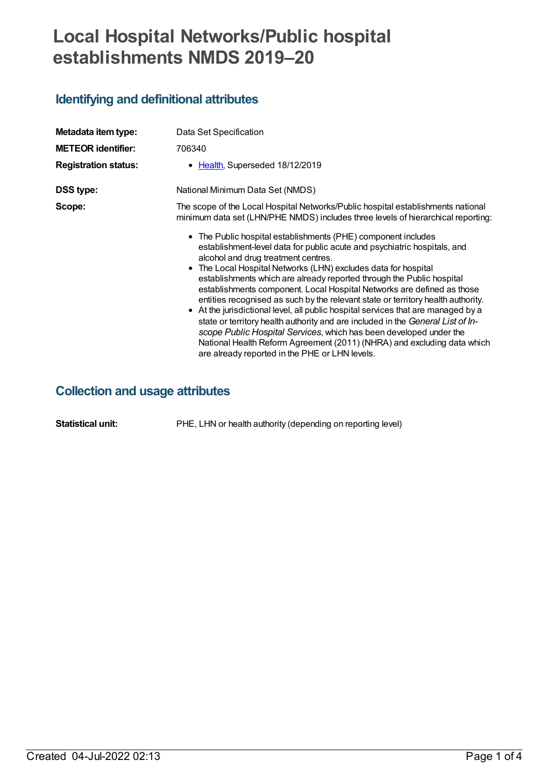# **Local Hospital Networks/Public hospital establishments NMDS 2019–20**

# **Identifying and definitional attributes**

| Metadata item type:<br><b>METEOR identifier:</b><br><b>Registration status:</b> | Data Set Specification<br>706340<br>• Health, Superseded 18/12/2019                                                                                                                                                                                                                                                                                                                                                                                                                                                                                                                                                                                                                                                                                                                                                                                                  |
|---------------------------------------------------------------------------------|----------------------------------------------------------------------------------------------------------------------------------------------------------------------------------------------------------------------------------------------------------------------------------------------------------------------------------------------------------------------------------------------------------------------------------------------------------------------------------------------------------------------------------------------------------------------------------------------------------------------------------------------------------------------------------------------------------------------------------------------------------------------------------------------------------------------------------------------------------------------|
| <b>DSS type:</b>                                                                | National Minimum Data Set (NMDS)                                                                                                                                                                                                                                                                                                                                                                                                                                                                                                                                                                                                                                                                                                                                                                                                                                     |
| Scope:                                                                          | The scope of the Local Hospital Networks/Public hospital establishments national<br>minimum data set (LHN/PHE NMDS) includes three levels of hierarchical reporting:                                                                                                                                                                                                                                                                                                                                                                                                                                                                                                                                                                                                                                                                                                 |
|                                                                                 | • The Public hospital establishments (PHE) component includes<br>establishment-level data for public acute and psychiatric hospitals, and<br>alcohol and drug treatment centres.<br>• The Local Hospital Networks (LHN) excludes data for hospital<br>establishments which are already reported through the Public hospital<br>establishments component. Local Hospital Networks are defined as those<br>entities recognised as such by the relevant state or territory health authority.<br>• At the jurisdictional level, all public hospital services that are managed by a<br>state or territory health authority and are included in the General List of In-<br>scope Public Hospital Services, which has been developed under the<br>National Health Reform Agreement (2011) (NHRA) and excluding data which<br>are already reported in the PHE or LHN levels. |

# **Collection and usage attributes**

**Statistical unit:** PHE, LHN or health authority (depending on reporting level)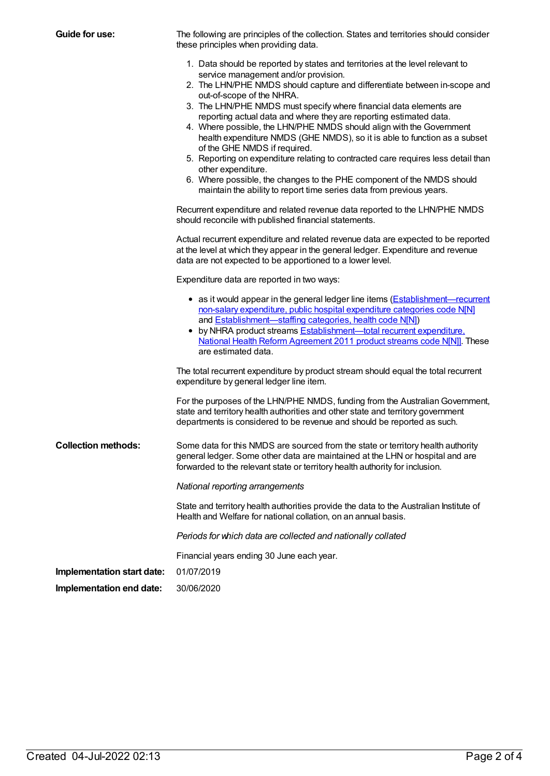| <b>Guide for use:</b>      | The following are principles of the collection. States and territories should consider<br>these principles when providing data.                                                                                                                                                                                                                                                                                                                                                                                                                                                            |
|----------------------------|--------------------------------------------------------------------------------------------------------------------------------------------------------------------------------------------------------------------------------------------------------------------------------------------------------------------------------------------------------------------------------------------------------------------------------------------------------------------------------------------------------------------------------------------------------------------------------------------|
|                            | 1. Data should be reported by states and territories at the level relevant to<br>service management and/or provision.                                                                                                                                                                                                                                                                                                                                                                                                                                                                      |
|                            | 2. The LHN/PHE NMDS should capture and differentiate between in-scope and<br>out-of-scope of the NHRA.                                                                                                                                                                                                                                                                                                                                                                                                                                                                                     |
|                            | 3. The LHN/PHE NMDS must specify where financial data elements are<br>reporting actual data and where they are reporting estimated data.<br>4. Where possible, the LHN/PHE NMDS should align with the Government<br>health expenditure NMDS (GHE NMDS), so it is able to function as a subset<br>of the GHE NMDS if required.<br>5. Reporting on expenditure relating to contracted care requires less detail than<br>other expenditure.<br>6. Where possible, the changes to the PHE component of the NMDS should<br>maintain the ability to report time series data from previous years. |
|                            |                                                                                                                                                                                                                                                                                                                                                                                                                                                                                                                                                                                            |
|                            | Recurrent expenditure and related revenue data reported to the LHN/PHE NMDS<br>should reconcile with published financial statements.                                                                                                                                                                                                                                                                                                                                                                                                                                                       |
|                            | Actual recurrent expenditure and related revenue data are expected to be reported<br>at the level at which they appear in the general ledger. Expenditure and revenue<br>data are not expected to be apportioned to a lower level.                                                                                                                                                                                                                                                                                                                                                         |
|                            | Expenditure data are reported in two ways:                                                                                                                                                                                                                                                                                                                                                                                                                                                                                                                                                 |
|                            | • as it would appear in the general ledger line items (Establishment—recurrent<br>non-salary expenditure, public hospital expenditure categories code N[N]<br>and <b>Establishment</b> —staffing categories, health code N[N])<br>• by NHRA product streams <b>Establishment-total recurrent expenditure</b> ,<br>National Health Reform Agreement 2011 product streams code N[N]]. These<br>are estimated data.                                                                                                                                                                           |
|                            | The total recurrent expenditure by product stream should equal the total recurrent<br>expenditure by general ledger line item.                                                                                                                                                                                                                                                                                                                                                                                                                                                             |
|                            | For the purposes of the LHN/PHE NMDS, funding from the Australian Government,<br>state and territory health authorities and other state and territory government<br>departments is considered to be revenue and should be reported as such.                                                                                                                                                                                                                                                                                                                                                |
| <b>Collection methods:</b> | Some data for this NMDS are sourced from the state or territory health authority<br>general ledger. Some other data are maintained at the LHN or hospital and are<br>forwarded to the relevant state or territory health authority for inclusion.                                                                                                                                                                                                                                                                                                                                          |
|                            | National reporting arrangements                                                                                                                                                                                                                                                                                                                                                                                                                                                                                                                                                            |
|                            | State and territory health authorities provide the data to the Australian Institute of<br>Health and Welfare for national collation, on an annual basis.                                                                                                                                                                                                                                                                                                                                                                                                                                   |
|                            | Periods for which data are collected and nationally collated                                                                                                                                                                                                                                                                                                                                                                                                                                                                                                                               |
|                            | Financial years ending 30 June each year.                                                                                                                                                                                                                                                                                                                                                                                                                                                                                                                                                  |
| Implementation start date: | 01/07/2019                                                                                                                                                                                                                                                                                                                                                                                                                                                                                                                                                                                 |
| Implementation end date:   | 30/06/2020                                                                                                                                                                                                                                                                                                                                                                                                                                                                                                                                                                                 |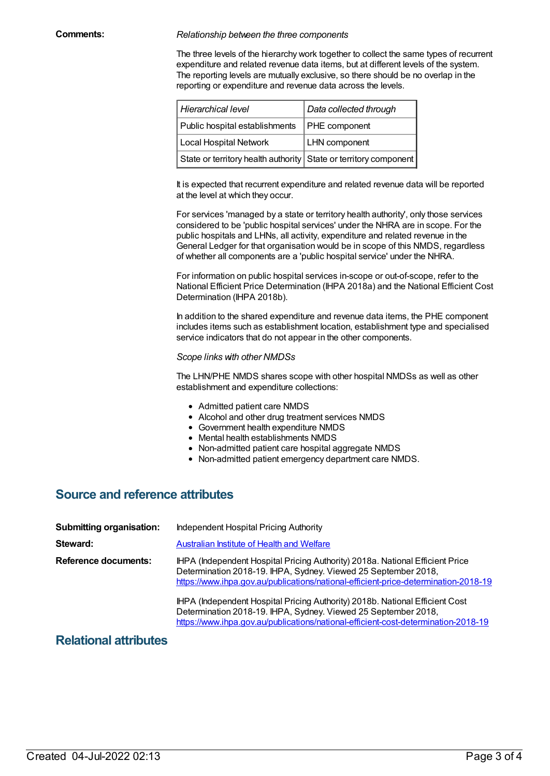#### **Comments:** *Relationship between the three components*

The three levels of the hierarchy work together to collect the same types of recurrent expenditure and related revenue data items, but at different levels of the system. The reporting levels are mutually exclusive, so there should be no overlap in the reporting or expenditure and revenue data across the levels.

| Hierarchical level                                               | Data collected through |
|------------------------------------------------------------------|------------------------|
| Public hospital establishments                                   | <b>PHE</b> component   |
| Local Hospital Network                                           | <b>LHN</b> component   |
| State or territory health authority State or territory component |                        |

It is expected that recurrent expenditure and related revenue data will be reported at the level at which they occur.

For services 'managed by a state or territory health authority', only those services considered to be 'public hospital services' under the NHRA are in scope. For the public hospitals and LHNs, all activity, expenditure and related revenue in the General Ledger for that organisation would be in scope of this NMDS, regardless of whether all components are a 'public hospital service' under the NHRA.

For information on public hospital services in-scope or out-of-scope, refer to the National Efficient Price Determination (IHPA 2018a) and the National Efficient Cost Determination (IHPA 2018b).

In addition to the shared expenditure and revenue data items, the PHE component includes items such as establishment location, establishment type and specialised service indicators that do not appear in the other components.

#### *Scope links with other NMDSs*

The LHN/PHE NMDS shares scope with other hospital NMDSs as well as other establishment and expenditure collections:

- Admitted patient care NMDS
- Alcohol and other drug treatment services NMDS
- Government health expenditure NMDS
- Mental health establishments NMDS
- Non-admitted patient care hospital aggregate NMDS
- Non-admitted patient emergency department care NMDS.

### **Source and reference attributes**

| <b>Submitting organisation:</b> | Independent Hospital Pricing Authority                                                                                                                                                                                                 |
|---------------------------------|----------------------------------------------------------------------------------------------------------------------------------------------------------------------------------------------------------------------------------------|
| Steward:                        | <b>Australian Institute of Health and Welfare</b>                                                                                                                                                                                      |
| Reference documents:            | IHPA (Independent Hospital Pricing Authority) 2018a. National Efficient Price<br>Determination 2018-19. IHPA, Sydney. Viewed 25 September 2018,<br>https://www.ihpa.gov.au/publications/national-efficient-price-determination-2018-19 |
|                                 | IHPA (Independent Hospital Pricing Authority) 2018b. National Efficient Cost<br>Determination 2018-19. IHPA, Sydney. Viewed 25 September 2018,<br>https://www.ihpa.gov.au/publications/national-efficient-cost-determination-2018-19   |

### **Relational attributes**